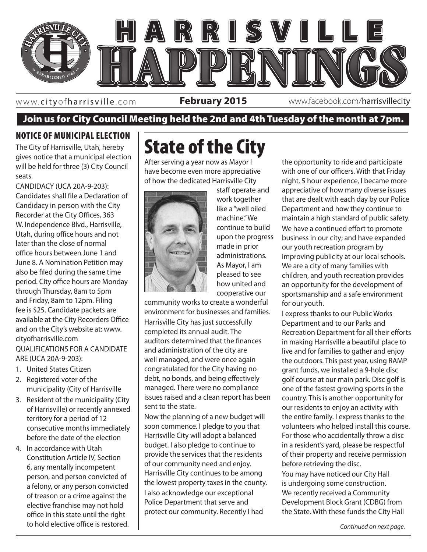

www. cityofharrisville .com

**February 2015** www.facebook.com/harrisvillecity

### Join us for City Council Meeting held the 2nd and 4th Tuesday of the month at 7pm.

### NOTICE OF MUNICIPAL ELECTION

The City of Harrisville, Utah, hereby gives notice that a municipal election will be held for three (3) City Council seats.

CANDIDACY (UCA 20A-9-203): Candidates shall file a Declaration of Candidacy in person with the City Recorder at the City Offices, 363 W. Independence Blvd., Harrisville, Utah, during office hours and not later than the close of normal office hours between June 1 and June 8. A Nomination Petition may also be filed during the same time period. City office hours are Monday through Thursday, 8am to 5pm and Friday, 8am to 12pm. Filing fee is \$25. Candidate packets are available at the City Recorders Office and on the City's website at: www. cityofharrisville.com QUALIFICATIONS FOR A CANDIDATE ARE (UCA 20A-9-203):

- 1. United States Citizen
- 2. Registered voter of the municipality (City of Harrisville
- 3. Resident of the municipality (City of Harrisville) or recently annexed territory for a period of 12 consecutive months immediately before the date of the election
- 4. In accordance with Utah Constitution Article IV, Section 6, any mentally incompetent person, and person convicted of a felony, or any person convicted of treason or a crime against the elective franchise may not hold office in this state until the right to hold elective office is restored.

# State of the City

After serving a year now as Mayor I have become even more appreciative of how the dedicated Harrisville City



as a how united and and and staff operate and work together like a "well oiled machine." We continue to build upon the progress made in prior administrations. As Mayor, I am pleased to see cooperative our

community works to create a wonderful environment for businesses and families. Harrisville City has just successfully completed its annual audit. The auditors determined that the finances and administration of the city are well managed, and were once again congratulated for the City having no debt, no bonds, and being effectively managed. There were no compliance issues raised and a clean report has been sent to the state.

Now the planning of a new budget will soon commence. I pledge to you that Harrisville City will adopt a balanced budget. I also pledge to continue to provide the services that the residents of our community need and enjoy. Harrisville City continues to be among the lowest property taxes in the county. I also acknowledge our exceptional Police Department that serve and protect our community. Recently I had

the opportunity to ride and participate with one of our officers. With that Friday night, 5 hour experience, I became more appreciative of how many diverse issues that are dealt with each day by our Police Department and how they continue to maintain a high standard of public safety. We have a continued effort to promote business in our city; and have expanded our youth recreation program by improving publicity at our local schools. We are a city of many families with children, and youth recreation provides an opportunity for the development of sportsmanship and a safe environment for our youth.

I express thanks to our Public Works Department and to our Parks and Recreation Department for all their efforts in making Harrisville a beautiful place to live and for families to gather and enjoy the outdoors. This past year, using RAMP grant funds, we installed a 9-hole disc golf course at our main park. Disc golf is one of the fastest growing sports in the country. This is another opportunity for our residents to enjoy an activity with the entire family. I express thanks to the volunteers who helped install this course. For those who accidentally throw a disc in a resident's yard, please be respectful of their property and receive permission before retrieving the disc.

You may have noticed our City Hall is undergoing some construction. We recently received a Community Development Block Grant (CDBG) from the State. With these funds the City Hall